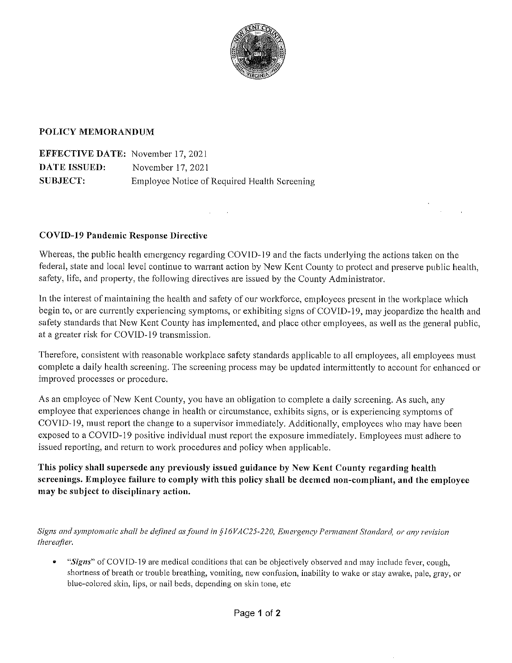

#### POLICY MEMORANDUM

**EFFECTIVE DATE:** November 17, 2021 **DATE ISSUED:** November 17, 2021 **SUBJECT:** Employee Notice of Required Health Screening

#### **COVID-19 Pandemic Response Directive**

Whereas, the public health emergency regarding COVID-19 and the facts underlying the actions taken on the federal, state and local level continue to warrant action by New Kent County to protect and preserve public health, safety, life, and property, the following directives are issued by the County Administrator.

In the interest of maintaining the health and safety of our workforce, employees present in the workplace which begin to, or are currently experiencing symptoms, or exhibiting signs of COVID-19, may jeopardize the health and safety standards that New Kent County has implemented, and place other employees, as well as the general public, at a greater risk for COVID-19 transmission.

Therefore, consistent with reasonable workplace safety standards applicable to all employees, all employees must complete a daily health screening. The screening process may be updated intermittently to account for enhanced or improved processes or procedure.

As an employee of New Kent County, you have an obligation to complete a daily screening. As such, any employee that experiences change in health or circumstance, exhibits signs, or is experiencing symptoms of COVID-19, must report the change to a supervisor immediately. Additionally, employees who may have been exposed to a COVID-19 positive individual must report the exposure immediately. Employees must adhere to issued reporting, and return to work procedures and policy when applicable.

This policy shall supersede any previously issued guidance by New Kent County regarding health screenings. Employee failure to comply with this policy shall be deemed non-compliant, and the employee may be subject to disciplinary action.

Signs and symptomatic shall be defined as found in §16VAC25-220, Emergency Permanent Standard, or any revision thereafter.

 $\bullet$ "Signs" of COVID-19 are medical conditions that can be objectively observed and may include fever, cough, shortness of breath or trouble breathing, vomiting, new confusion, inability to wake or stay awake, pale, gray, or blue-colored skin, lips, or nail beds, depending on skin tone, etc.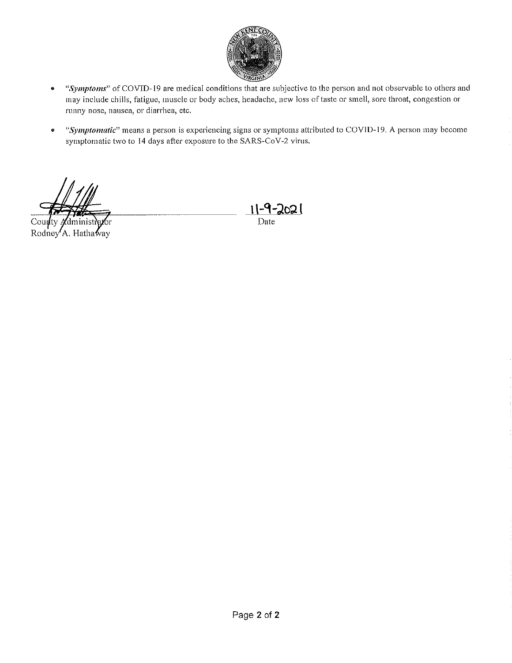

- "Symptoms" of COVID-19 are medical conditions that are subjective to the person and not observable to others and  $\bullet$ may include chills, fatigue, muscle or body aches, headache, new loss of taste or smell, sore throat, congestion or runny nose, nausea, or diarrhea, etc.
- "Symptomatic" means a person is experiencing signs or symptoms attributed to COVID-19. A person may become  $\bullet$ symptomatic two to 14 days after exposure to the SARS-CoV-2 virus.

 $\text{Cou}$ dminis бr Rodney A. Hathaway

 $11 - 9 - 2021$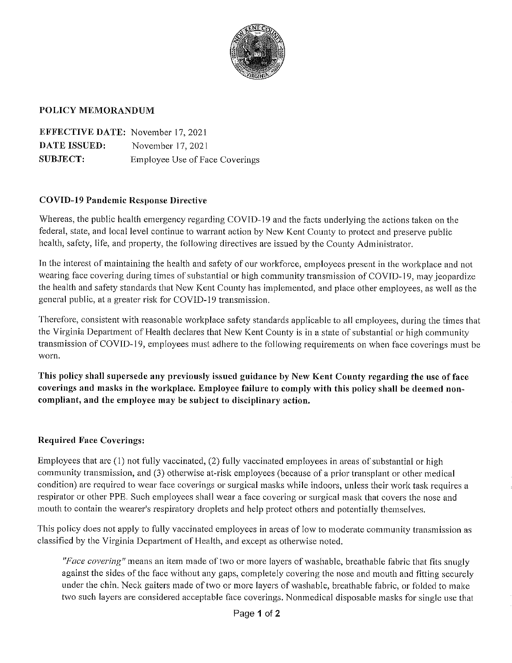

#### POLICY MEMORANDUM

**EFFECTIVE DATE:** November 17, 2021 **DATE ISSUED:** November 17, 2021 **SUBJECT: Employee Use of Face Coverings** 

#### **COVID-19 Pandemic Response Directive**

Whereas, the public health emergency regarding COVID-19 and the facts underlying the actions taken on the federal, state, and local level continue to warrant action by New Kent County to protect and preserve public health, safety, life, and property, the following directives are issued by the County Administrator.

In the interest of maintaining the health and safety of our workforce, employees present in the workplace and not wearing face covering during times of substantial or high community transmission of COVID-19, may jeopardize the health and safety standards that New Kent County has implemented, and place other employees, as well as the general public, at a greater risk for COVID-19 transmission.

Therefore, consistent with reasonable workplace safety standards applicable to all employees, during the times that the Virginia Department of Health declares that New Kent County is in a state of substantial or high community transmission of COVID-19, employees must adhere to the following requirements on when face coverings must be worn.

This policy shall supersede any previously issued guidance by New Kent County regarding the use of face coverings and masks in the workplace. Employee failure to comply with this policy shall be deemed noncompliant, and the employee may be subject to disciplinary action.

#### **Required Face Coverings:**

Employees that are (1) not fully vaccinated, (2) fully vaccinated employees in areas of substantial or high community transmission, and (3) otherwise at-risk employees (because of a prior transplant or other medical condition) are required to wear face coverings or surgical masks while indoors, unless their work task requires a respirator or other PPE. Such employees shall wear a face covering or surgical mask that covers the nose and mouth to contain the wearer's respiratory droplets and help protect others and potentially themselves.

This policy does not apply to fully vaccinated employees in areas of low to moderate community transmission as classified by the Virginia Department of Health, and except as otherwise noted.

"Face covering" means an item made of two or more layers of washable, breathable fabric that fits snugly against the sides of the face without any gaps, completely covering the nose and mouth and fitting securely under the chin. Neck gaiters made of two or more layers of washable, breathable fabric, or folded to make two such layers are considered acceptable face coverings. Nonmedical disposable masks for single use that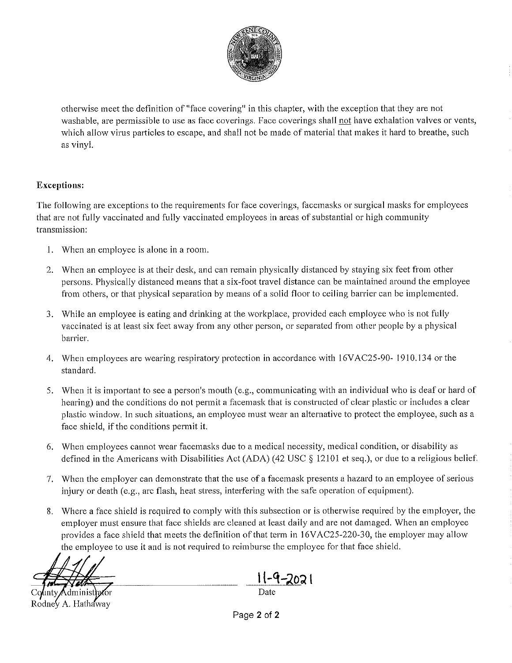

otherwise meet the definition of "face covering" in this chapter, with the exception that they are not washable, are permissible to use as face coverings. Face coverings shall not have exhalation valves or vents, which allow virus particles to escape, and shall not be made of material that makes it hard to breathe, such as vinyl.

### **Exceptions:**

The following are exceptions to the requirements for face coverings, facemasks or surgical masks for employees that are not fully vaccinated and fully vaccinated employees in areas of substantial or high community transmission:

- 1. When an employee is alone in a room.
- 2. When an employee is at their desk, and can remain physically distanced by staying six feet from other persons. Physically distanced means that a six-foot travel distance can be maintained around the employee from others, or that physical separation by means of a solid floor to ceiling barrier can be implemented.
- 3. While an employee is eating and drinking at the workplace, provided each employee who is not fully vaccinated is at least six feet away from any other person, or separated from other people by a physical barrier.
- 4. When employees are wearing respiratory protection in accordance with 16VAC25-90-1910.134 or the standard.
- 5. When it is important to see a person's mouth (e.g., communicating with an individual who is deaf or hard of hearing) and the conditions do not permit a facemask that is constructed of clear plastic or includes a clear plastic window. In such situations, an employee must wear an alternative to protect the employee, such as a face shield, if the conditions permit it.
- 6. When employees cannot wear facemasks due to a medical necessity, medical condition, or disability as defined in the Americans with Disabilities Act (ADA) (42 USC  $\S$  12101 et seq.), or due to a religious belief.
- 7. When the employer can demonstrate that the use of a facemask presents a hazard to an employee of serious injury or death (e.g., arc flash, heat stress, interfering with the safe operation of equipment).
- 8. Where a face shield is required to comply with this subsection or is otherwise required by the employer, the employer must ensure that face shields are cleaned at least daily and are not damaged. When an employee provides a face shield that meets the definition of that term in 16VAC25-220-30, the employer may allow the employee to use it and is not required to reimburse the employee for that face shield.

Administh Rodney A. Hathaway

-4–2021

Page 2 of 2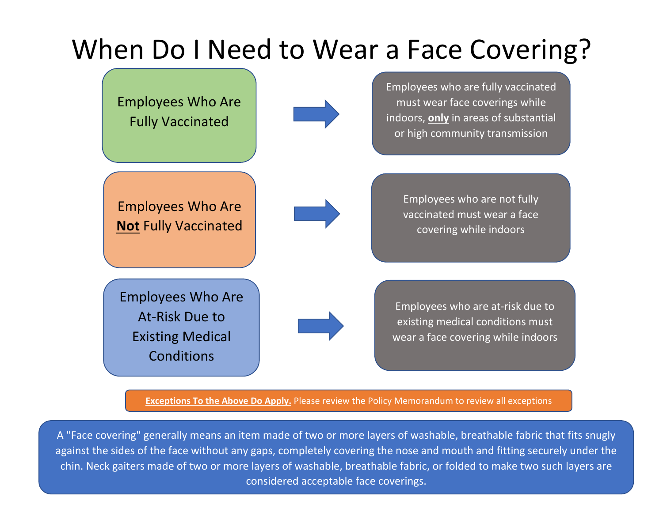# When Do I Need to Wear a Face Covering?



**Exceptions To the Above Do Apply.** Please review the Policy Memorandum to review all exceptions

A "Face covering" generally means an item made of two or more layers of washable, breathable fabric that fits snugly against the sides of the face without any gaps, completely covering the nose and mouth and fitting securely under the chin. Neck gaiters made of two or more layers of washable, breathable fabric, or folded to make two such layers are considered acceptable face coverings.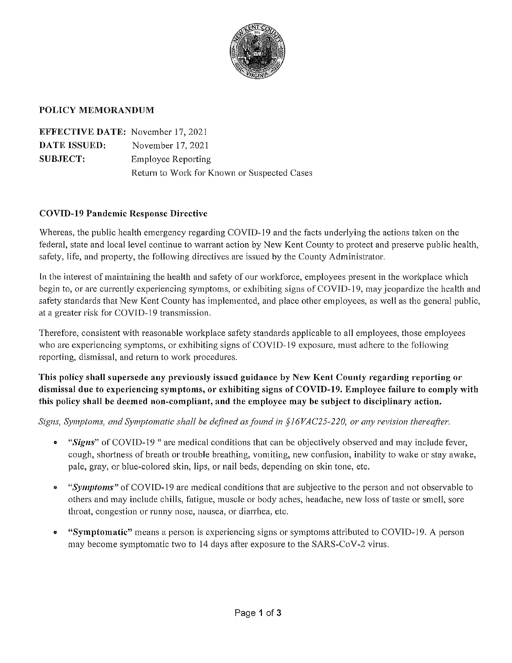

#### POLICY MEMORANDUM

| <b>EFFECTIVE DATE:</b> November 17, 2021 |                                             |
|------------------------------------------|---------------------------------------------|
| <b>DATE ISSUED:</b>                      | November 17, 2021                           |
| SUBJECT:                                 | <b>Employee Reporting</b>                   |
|                                          | Return to Work for Known or Suspected Cases |

#### **COVID-19 Pandemic Response Directive**

Whereas, the public health emergency regarding COVID-19 and the facts underlying the actions taken on the federal, state and local level continue to warrant action by New Kent County to protect and preserve public health, safety, life, and property, the following directives are issued by the County Administrator.

In the interest of maintaining the health and safety of our workforce, employees present in the workplace which begin to, or are currently experiencing symptoms, or exhibiting signs of COVID-19, may jeopardize the health and safety standards that New Kent County has implemented, and place other employees, as well as the general public, at a greater risk for COVID-19 transmission.

Therefore, consistent with reasonable workplace safety standards applicable to all employees, those employees who are experiencing symptoms, or exhibiting signs of COVID-19 exposure, must adhere to the following reporting, dismissal, and return to work procedures.

This policy shall supersede any previously issued guidance by New Kent County regarding reporting or dismissal due to experiencing symptoms, or exhibiting signs of COVID-19. Employee failure to comply with this policy shall be deemed non-compliant, and the employee may be subject to disciplinary action.

Signs, Symptoms, and Symptomatic shall be defined as found in  $$16VAC25-220$ , or any revision thereafter.

- "Signs" of COVID-19" are medical conditions that can be objectively observed and may include fever, cough, shortness of breath or trouble breathing, vomiting, new confusion, inability to wake or stay awake, pale, gray, or blue-colored skin, lips, or nail beds, depending on skin tone, etc.
- "Symptoms" of COVID-19 are medical conditions that are subjective to the person and not observable to  $\bullet$ others and may include chills, fatigue, muscle or body aches, headache, new loss of taste or smell, sore throat, congestion or runny nose, nausea, or diarrhea, etc.
- "Symptomatic" means a person is experiencing signs or symptoms attributed to COVID-19. A person  $\bullet$ may become symptomatic two to 14 days after exposure to the SARS-CoV-2 virus.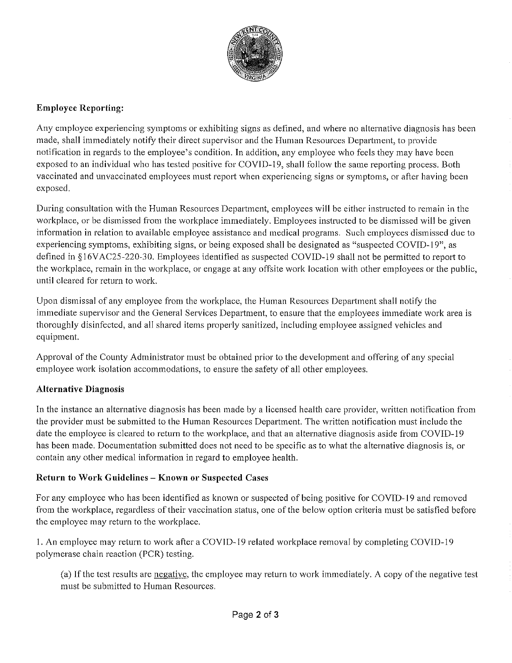

#### **Employee Reporting:**

Any employee experiencing symptoms or exhibiting signs as defined, and where no alternative diagnosis has been made, shall immediately notify their direct supervisor and the Human Resources Department, to provide notification in regards to the employee's condition. In addition, any employee who feels they may have been exposed to an individual who has tested positive for COVID-19, shall follow the same reporting process. Both vaccinated and unvaccinated employees must report when experiencing signs or symptoms, or after having been exposed.

During consultation with the Human Resources Department, employees will be either instructed to remain in the workplace, or be dismissed from the workplace immediately. Employees instructed to be dismissed will be given information in relation to available employee assistance and medical programs. Such employees dismissed due to experiencing symptoms, exhibiting signs, or being exposed shall be designated as "suspected COVID-19", as defined in §16VAC25-220-30. Employees identified as suspected COVID-19 shall not be permitted to report to the workplace, remain in the workplace, or engage at any offsite work location with other employees or the public, until cleared for return to work.

Upon dismissal of any employee from the workplace, the Human Resources Department shall notify the immediate supervisor and the General Services Department, to ensure that the employees immediate work area is thoroughly disinfected, and all shared items properly sanitized, including employee assigned vehicles and equipment.

Approval of the County Administrator must be obtained prior to the development and offering of any special employee work isolation accommodations, to ensure the safety of all other employees.

#### **Alternative Diagnosis**

In the instance an alternative diagnosis has been made by a licensed health care provider, written notification from the provider must be submitted to the Human Resources Department. The written notification must include the date the employee is cleared to return to the workplace, and that an alternative diagnosis aside from COVID-19 has been made. Documentation submitted does not need to be specific as to what the alternative diagnosis is, or contain any other medical information in regard to employee health.

#### Return to Work Guidelines - Known or Suspected Cases

For any employee who has been identified as known or suspected of being positive for COVID-19 and removed from the workplace, regardless of their vaccination status, one of the below option criteria must be satisfied before the employee may return to the workplace.

1. An employee may return to work after a COVID-19 related workplace removal by completing COVID-19 polymerase chain reaction (PCR) testing.

(a) If the test results are negative, the employee may return to work immediately. A copy of the negative test must be submitted to Human Resources.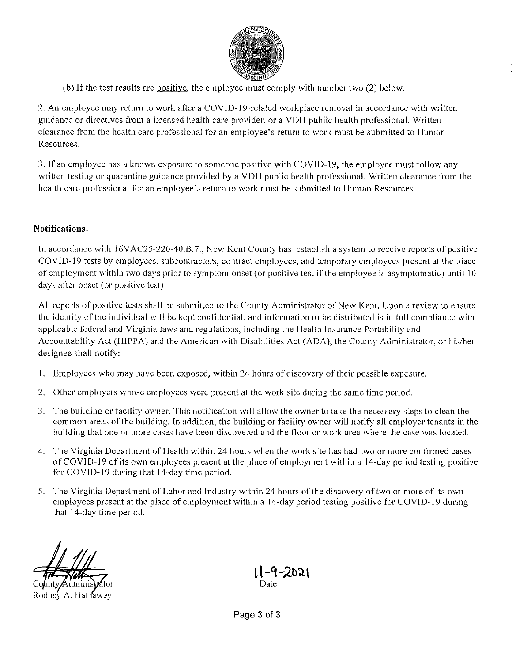

(b) If the test results are positive, the employee must comply with number two (2) below.

2. An employee may return to work after a COVID-19-related workplace removal in accordance with written guidance or directives from a licensed health care provider, or a VDH public health professional. Written clearance from the health care professional for an employee's return to work must be submitted to Human Resources.

3. If an employee has a known exposure to someone positive with COVID-19, the employee must follow any written testing or quarantine guidance provided by a VDH public health professional. Written clearance from the health care professional for an employee's return to work must be submitted to Human Resources.

#### Notifications:

In accordance with 16VAC25-220-40.B.7., New Kent County has establish a system to receive reports of positive COVID-19 tests by employees, subcontractors, contract employees, and temporary employees present at the place of employment within two days prior to symptom onset (or positive test if the employee is asymptomatic) until 10 days after onset (or positive test).

All reports of positive tests shall be submitted to the County Administrator of New Kent. Upon a review to ensure the identity of the individual will be kept confidential, and information to be distributed is in full compliance with applicable federal and Virginia laws and regulations, including the Health Insurance Portability and Accountability Act (HIPPA) and the American with Disabilities Act (ADA), the County Administrator, or his/her designee shall notify:

- 1. Employees who may have been exposed, within 24 hours of discovery of their possible exposure.
- 2. Other employers whose employees were present at the work site during the same time period.
- 3. The building or facility owner. This notification will allow the owner to take the necessary steps to clean the common areas of the building. In addition, the building or facility owner will notify all employer tenants in the building that one or more cases have been discovered and the floor or work area where the case was located.
- 4. The Virginia Department of Health within 24 hours when the work site has had two or more confirmed cases of COVID-19 of its own employees present at the place of employment within a 14-day period testing positive for COVID-19 during that 14-day time period.
- 5. The Virginia Department of Labor and Industry within 24 hours of the discovery of two or more of its own employees present at the place of employment within a 14-day period testing positive for COVID-19 during that 14-day time period.

Rodney A. Hathaway

Date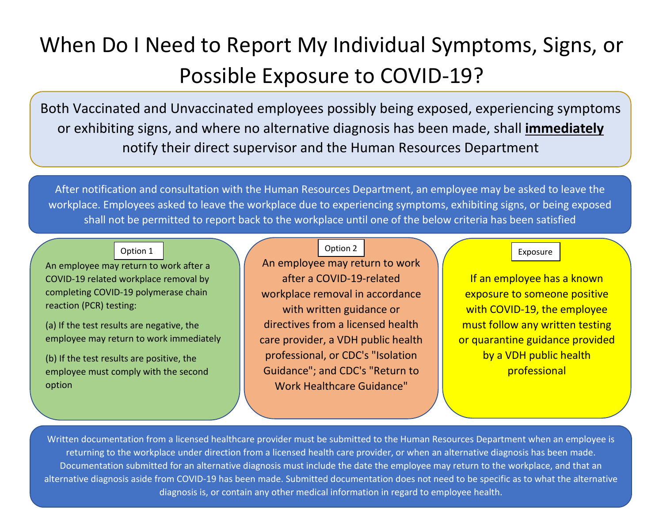## When Do I Need to Report My Individual Symptoms, Signs, or Possible Exposure to COVID-19?

Both Vaccinated and Unvaccinated employees possibly being exposed, experiencing symptoms or exhibiting signs, and where no alternative diagnosis has been made, shall **immediately** notify their direct supervisor and the Human Resources Department

After notification and consultation with the Human Resources Department, an employee may be asked to leave the workplace. Employees asked to leave the workplace due to experiencing symptoms, exhibiting signs, or being exposed shall not be permitted to report back to the workplace until one of the below criteria has been satisfied

An employee may return to work after a COVID-19 related workplace removal by completing COVID-19 polymerase chain reaction (PCR) testing:

(a) If the test results are negative, the employee may return to work immediately

(b) If the test results are positive, the employee must comply with the second option

## Option 1 | Contract Contract Contract Contract Contract Contract Contract Contract Contract Contract Contract Contract Contract Contract Contract Contract Contract Contract Contract Contract Contract Contract Contract Cont

An employee may return to work after a COVID-19-related workplace removal in accordance with written guidance or directives from a licensed health care provider, a VDH public health professional, or CDC's "Isolation Guidance"; and CDC's "Return to Work Healthcare Guidance"

If an employee has a known exposure to someone positive with COVID-19, the employee must follow any written testing or quarantine guidance provided by a VDH public health professional

Written documentation from a licensed healthcare provider must be submitted to the Human Resources Department when an employee is returning to the workplace under direction from a licensed health care provider, or when an alternative diagnosis has been made. Documentation submitted for an alternative diagnosis must include the date the employee may return to the workplace, and that an alternative diagnosis aside from COVID-19 has been made. Submitted documentation does not need to be specific as to what the alternative diagnosis is, or contain any other medical information in regard to employee health.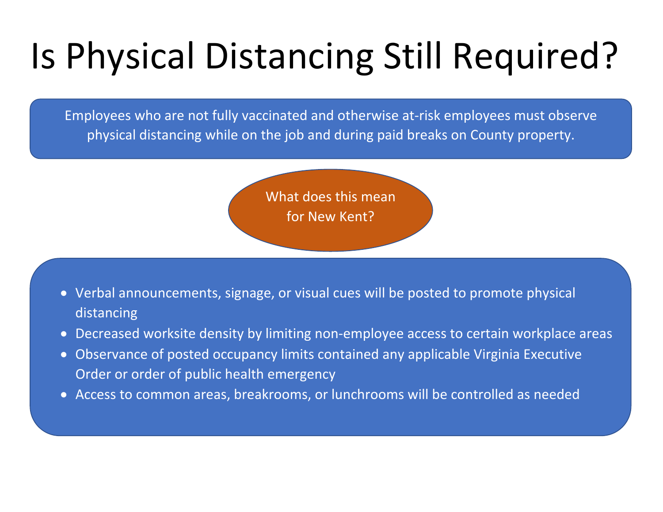# Is Physical Distancing Still Required?

Employees who are not fully vaccinated and otherwise at-risk employees must observe physical distancing while on the job and during paid breaks on County property.

> What does this mean for New Kent?

- Verbal announcements, signage, or visual cues will be posted to promote physical distancing
- Decreased worksite density by limiting non-employee access to certain workplace areas
- Observance of posted occupancy limits contained any applicable Virginia Executive Order or order of public health emergency
- Access to common areas, breakrooms, or lunchrooms will be controlled as needed